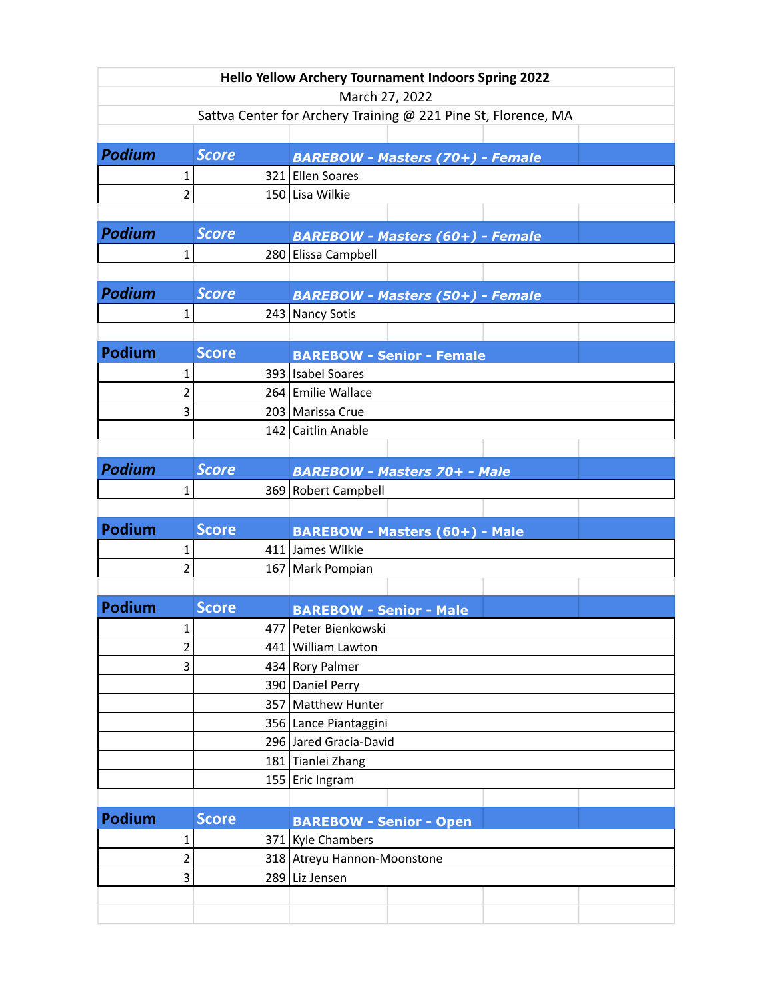| <b>Hello Yellow Archery Tournament Indoors Spring 2022</b>                       |                        |              |                                         |  |  |  |  |  |  |
|----------------------------------------------------------------------------------|------------------------|--------------|-----------------------------------------|--|--|--|--|--|--|
| March 27, 2022<br>Sattva Center for Archery Training @ 221 Pine St, Florence, MA |                        |              |                                         |  |  |  |  |  |  |
|                                                                                  |                        |              |                                         |  |  |  |  |  |  |
| <b>Podium</b>                                                                    |                        | <b>Score</b> | <b>BAREBOW - Masters (70+) - Female</b> |  |  |  |  |  |  |
|                                                                                  | 1                      |              | 321 Ellen Soares                        |  |  |  |  |  |  |
|                                                                                  | $\overline{2}$         |              | 150 Lisa Wilkie                         |  |  |  |  |  |  |
|                                                                                  |                        |              |                                         |  |  |  |  |  |  |
| <b>Podium</b>                                                                    |                        | <b>Score</b> | <b>BAREBOW - Masters (60+) - Female</b> |  |  |  |  |  |  |
|                                                                                  | 1                      |              | 280 Elissa Campbell                     |  |  |  |  |  |  |
|                                                                                  |                        |              |                                         |  |  |  |  |  |  |
| <b>Podium</b>                                                                    |                        | <b>Score</b> | <b>BAREBOW - Masters (50+) - Female</b> |  |  |  |  |  |  |
|                                                                                  | 1                      |              | 243 Nancy Sotis                         |  |  |  |  |  |  |
|                                                                                  |                        |              |                                         |  |  |  |  |  |  |
| <b>Podium</b>                                                                    |                        | <b>Score</b> | <b>BAREBOW - Senior - Female</b>        |  |  |  |  |  |  |
|                                                                                  | 393 Isabel Soares<br>1 |              |                                         |  |  |  |  |  |  |
|                                                                                  | 2                      |              | 264 Emilie Wallace                      |  |  |  |  |  |  |
|                                                                                  | 3                      |              | 203 Marissa Crue                        |  |  |  |  |  |  |
|                                                                                  |                        |              | 142 Caitlin Anable                      |  |  |  |  |  |  |
|                                                                                  |                        |              |                                         |  |  |  |  |  |  |
| <b>Podium</b>                                                                    |                        | <b>Score</b> | <b>BAREBOW - Masters 70+ - Male</b>     |  |  |  |  |  |  |
|                                                                                  | 1                      |              | 369 Robert Campbell                     |  |  |  |  |  |  |
|                                                                                  |                        |              |                                         |  |  |  |  |  |  |
| <b>Podium</b>                                                                    |                        | <b>Score</b> | <b>BAREBOW - Masters (60+) - Male</b>   |  |  |  |  |  |  |
|                                                                                  | 1                      |              | 411 James Wilkie                        |  |  |  |  |  |  |
|                                                                                  | $\overline{2}$         |              | 167 Mark Pompian                        |  |  |  |  |  |  |
|                                                                                  |                        |              |                                         |  |  |  |  |  |  |
| <b>Podium</b>                                                                    |                        | <b>Score</b> | <b>BAREBOW - Senior - Male</b>          |  |  |  |  |  |  |
|                                                                                  | 1                      |              | 477 Peter Bienkowski                    |  |  |  |  |  |  |
|                                                                                  | $\overline{c}$         |              | 441 William Lawton                      |  |  |  |  |  |  |
|                                                                                  | 434 Rory Palmer        |              |                                         |  |  |  |  |  |  |
|                                                                                  |                        |              | 390 Daniel Perry                        |  |  |  |  |  |  |
|                                                                                  |                        |              | 357 Matthew Hunter                      |  |  |  |  |  |  |
|                                                                                  | 356 Lance Piantaggini  |              |                                         |  |  |  |  |  |  |
|                                                                                  | 296 Jared Gracia-David |              |                                         |  |  |  |  |  |  |
|                                                                                  |                        |              | 181 Tianlei Zhang                       |  |  |  |  |  |  |
|                                                                                  |                        |              | 155 Eric Ingram                         |  |  |  |  |  |  |
|                                                                                  |                        |              |                                         |  |  |  |  |  |  |
| <b>Podium</b>                                                                    |                        | <b>Score</b> | <b>BAREBOW - Senior - Open</b>          |  |  |  |  |  |  |
|                                                                                  | 1                      |              | 371 Kyle Chambers                       |  |  |  |  |  |  |
|                                                                                  | 2                      |              | 318 Atreyu Hannon-Moonstone             |  |  |  |  |  |  |
|                                                                                  | 3                      |              | 289 Liz Jensen                          |  |  |  |  |  |  |
|                                                                                  |                        |              |                                         |  |  |  |  |  |  |
|                                                                                  |                        |              |                                         |  |  |  |  |  |  |